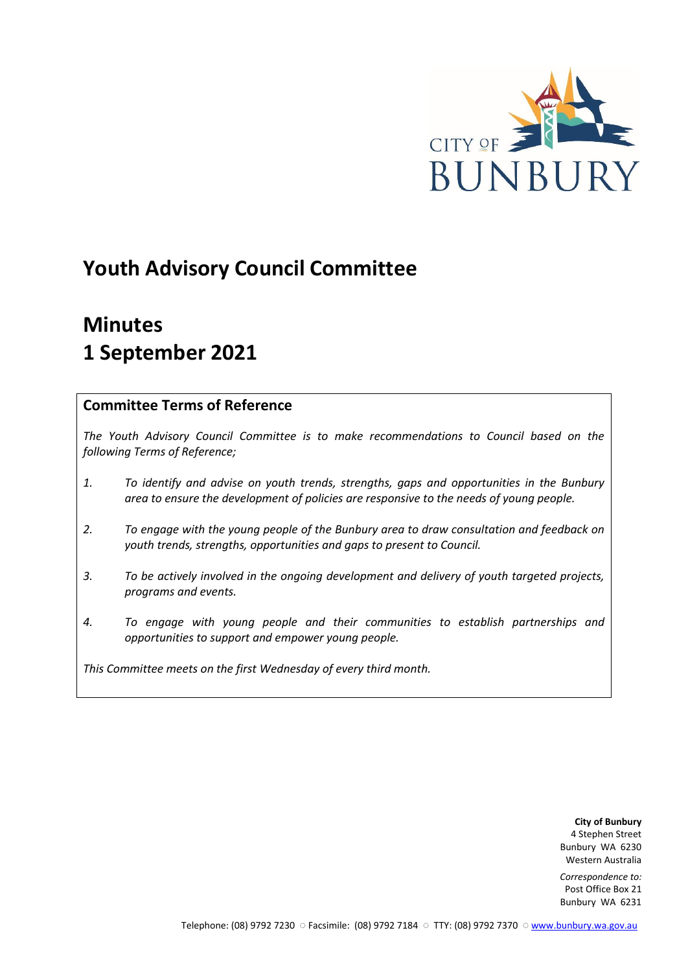

# **Youth Advisory Council Committee**

# **Minutes 1 September 2021**

# **Committee Terms of Reference**

*The Youth Advisory Council Committee is to make recommendations to Council based on the following Terms of Reference;*

- *1. To identify and advise on youth trends, strengths, gaps and opportunities in the Bunbury area to ensure the development of policies are responsive to the needs of young people.*
- *2. To engage with the young people of the Bunbury area to draw consultation and feedback on youth trends, strengths, opportunities and gaps to present to Council.*
- *3. To be actively involved in the ongoing development and delivery of youth targeted projects, programs and events.*
- *4. To engage with young people and their communities to establish partnerships and opportunities to support and empower young people.*

*This Committee meets on the first Wednesday of every third month.*

**City of Bunbury** 4 Stephen Street Bunbury WA 6230 Western Australia

*Correspondence to:* Post Office Box 21 Bunbury WA 6231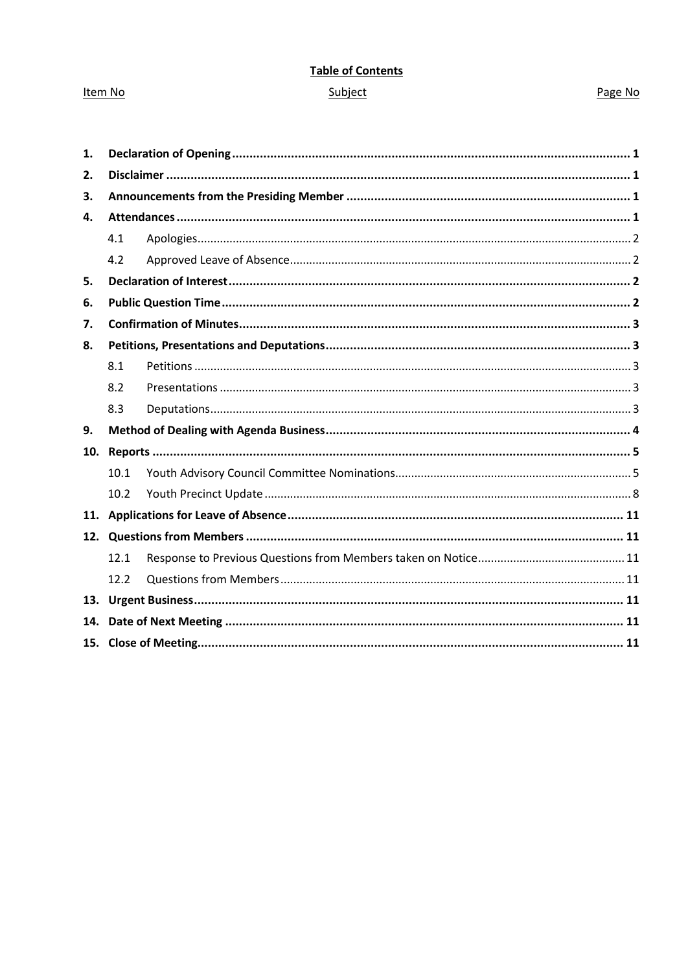# **Table of Contents** Subject

### Item No

## Page No

| 1.  |      |  |  |  |  |
|-----|------|--|--|--|--|
| 2.  |      |  |  |  |  |
| 3.  |      |  |  |  |  |
| 4.  |      |  |  |  |  |
|     | 4.1  |  |  |  |  |
|     | 4.2  |  |  |  |  |
| 5.  |      |  |  |  |  |
| 6.  |      |  |  |  |  |
| 7.  |      |  |  |  |  |
| 8.  |      |  |  |  |  |
|     | 8.1  |  |  |  |  |
|     | 8.2  |  |  |  |  |
|     | 8.3  |  |  |  |  |
| 9.  |      |  |  |  |  |
| 10. |      |  |  |  |  |
|     | 10.1 |  |  |  |  |
|     | 10.2 |  |  |  |  |
|     |      |  |  |  |  |
| 12. |      |  |  |  |  |
|     | 12.1 |  |  |  |  |
|     | 12.2 |  |  |  |  |
| 13. |      |  |  |  |  |
| 14. |      |  |  |  |  |
|     |      |  |  |  |  |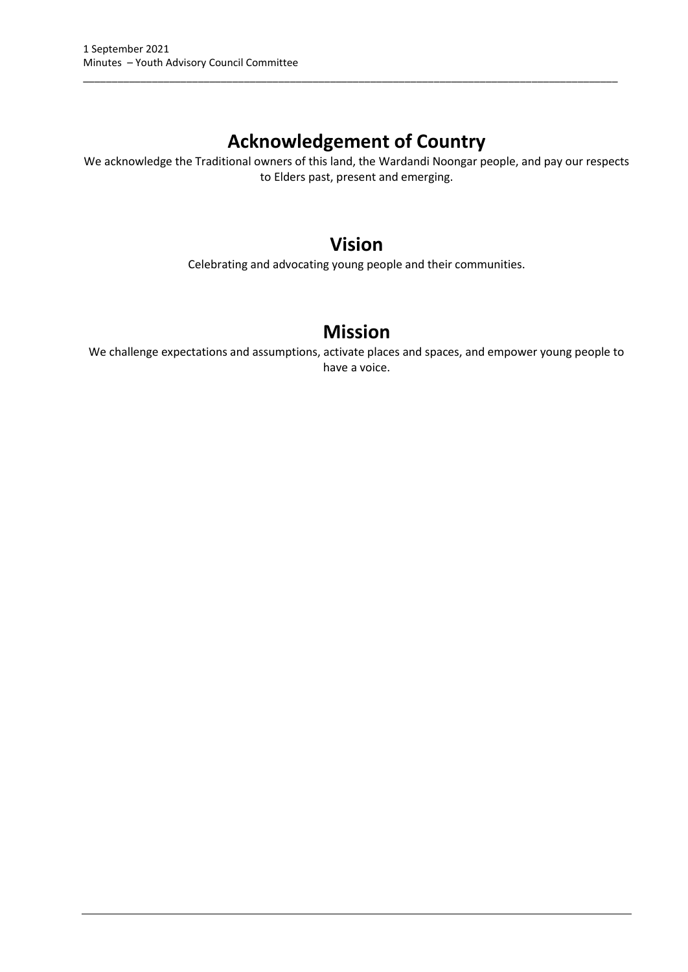# **Acknowledgement of Country**

\_\_\_\_\_\_\_\_\_\_\_\_\_\_\_\_\_\_\_\_\_\_\_\_\_\_\_\_\_\_\_\_\_\_\_\_\_\_\_\_\_\_\_\_\_\_\_\_\_\_\_\_\_\_\_\_\_\_\_\_\_\_\_\_\_\_\_\_\_\_\_\_\_\_\_\_\_\_\_\_\_\_\_\_\_\_\_\_\_\_\_\_\_

We acknowledge the Traditional owners of this land, the Wardandi Noongar people, and pay our respects to Elders past, present and emerging.

# **Vision**

Celebrating and advocating young people and their communities.

# **Mission**

We challenge expectations and assumptions, activate places and spaces, and empower young people to have a voice.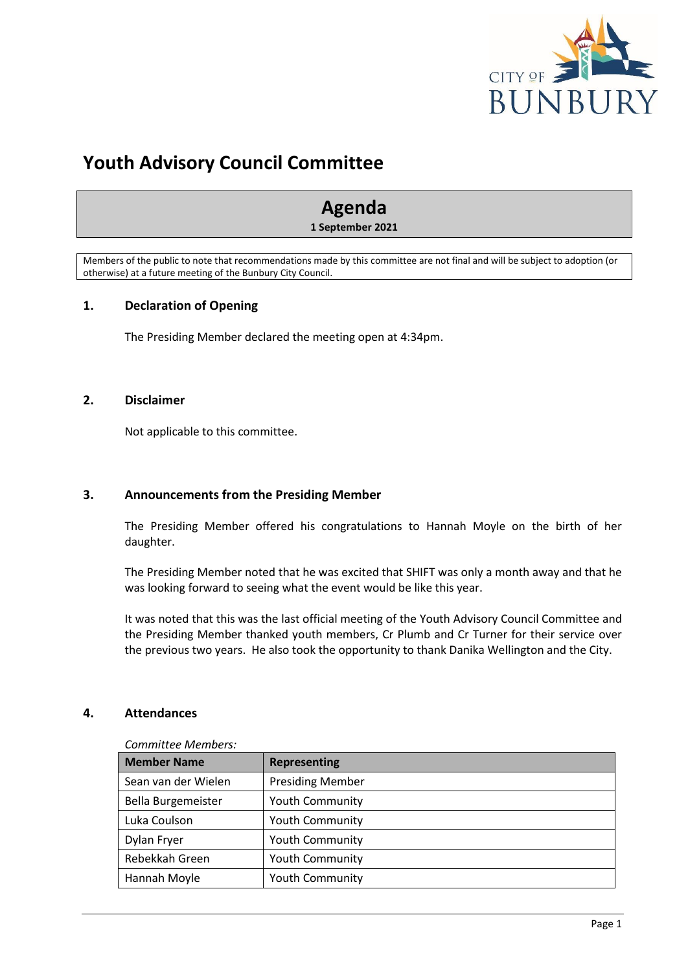

# **Youth Advisory Council Committee**

# **Agenda**

**1 September 2021**

Members of the public to note that recommendations made by this committee are not final and will be subject to adoption (or otherwise) at a future meeting of the Bunbury City Council.

# <span id="page-3-0"></span>**1. Declaration of Opening**

The Presiding Member declared the meeting open at 4:34pm.

### <span id="page-3-1"></span>**2. Disclaimer**

Not applicable to this committee.

# <span id="page-3-2"></span>**3. Announcements from the Presiding Member**

The Presiding Member offered his congratulations to Hannah Moyle on the birth of her daughter.

The Presiding Member noted that he was excited that SHIFT was only a month away and that he was looking forward to seeing what the event would be like this year.

It was noted that this was the last official meeting of the Youth Advisory Council Committee and the Presiding Member thanked youth members, Cr Plumb and Cr Turner for their service over the previous two years. He also took the opportunity to thank Danika Wellington and the City.

#### <span id="page-3-3"></span>**4. Attendances**

*Committee Members:*

| <b>Member Name</b>  | <b>Representing</b>     |
|---------------------|-------------------------|
| Sean van der Wielen | <b>Presiding Member</b> |
| Bella Burgemeister  | <b>Youth Community</b>  |
| Luka Coulson        | <b>Youth Community</b>  |
| Dylan Fryer         | <b>Youth Community</b>  |
| Rebekkah Green      | <b>Youth Community</b>  |
| Hannah Moyle        | <b>Youth Community</b>  |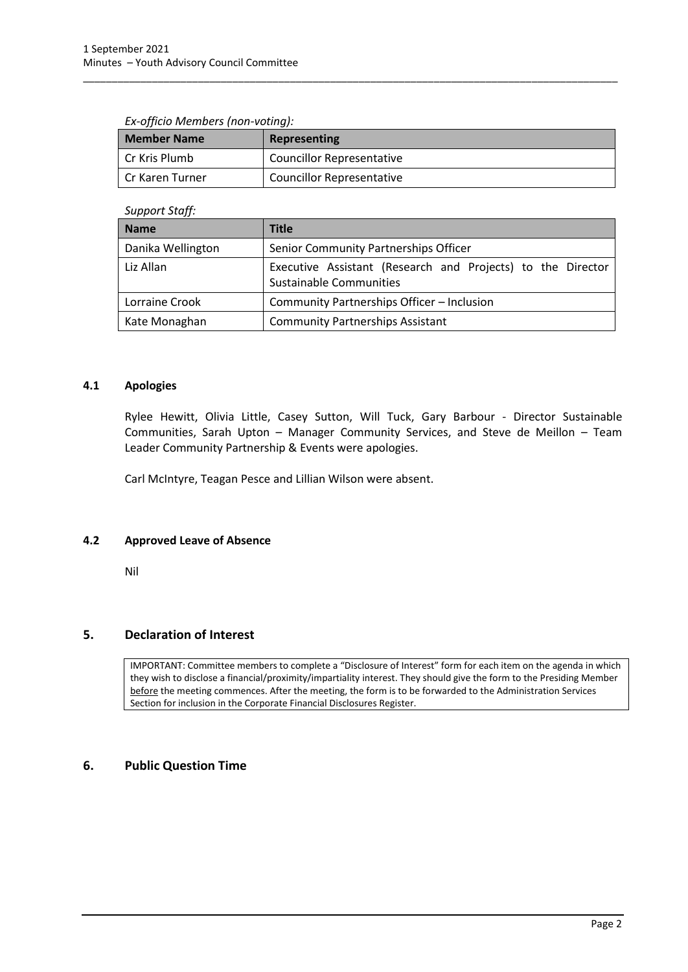#### *Ex-officio Members (non-voting):*

| <b>Member Name</b> | <b>Representing</b>              |
|--------------------|----------------------------------|
| l Cr Kris Plumb    | <b>Councillor Representative</b> |
| l Cr Karen Turner  | <b>Councillor Representative</b> |

\_\_\_\_\_\_\_\_\_\_\_\_\_\_\_\_\_\_\_\_\_\_\_\_\_\_\_\_\_\_\_\_\_\_\_\_\_\_\_\_\_\_\_\_\_\_\_\_\_\_\_\_\_\_\_\_\_\_\_\_\_\_\_\_\_\_\_\_\_\_\_\_\_\_\_\_\_\_\_\_\_\_\_\_\_\_\_\_\_\_\_\_\_

#### *Support Staff:*

| <b>Name</b>       | Title                                                                                         |  |  |  |
|-------------------|-----------------------------------------------------------------------------------------------|--|--|--|
| Danika Wellington | Senior Community Partnerships Officer                                                         |  |  |  |
| Liz Allan         | Executive Assistant (Research and Projects) to the Director<br><b>Sustainable Communities</b> |  |  |  |
| Lorraine Crook    | Community Partnerships Officer - Inclusion                                                    |  |  |  |
| Kate Monaghan     | <b>Community Partnerships Assistant</b>                                                       |  |  |  |

#### <span id="page-4-0"></span>**4.1 Apologies**

Rylee Hewitt, Olivia Little, Casey Sutton, Will Tuck, Gary Barbour - Director Sustainable Communities, Sarah Upton – Manager Community Services, and Steve de Meillon – Team Leader Community Partnership & Events were apologies.

Carl McIntyre, Teagan Pesce and Lillian Wilson were absent.

#### <span id="page-4-1"></span>**4.2 Approved Leave of Absence**

Nil

# <span id="page-4-2"></span>**5. Declaration of Interest**

IMPORTANT: Committee members to complete a "Disclosure of Interest" form for each item on the agenda in which they wish to disclose a financial/proximity/impartiality interest. They should give the form to the Presiding Member before the meeting commences. After the meeting, the form is to be forwarded to the Administration Services Section for inclusion in the Corporate Financial Disclosures Register.

# <span id="page-4-3"></span>**6. Public Question Time**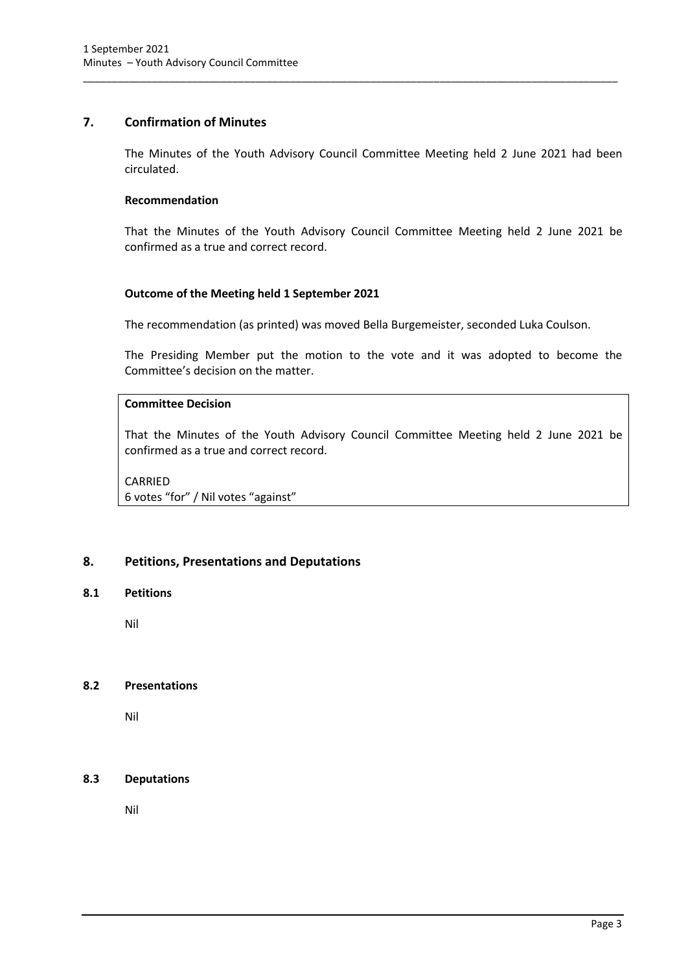# <span id="page-5-0"></span>**7. Confirmation of Minutes**

The Minutes of the Youth Advisory Council Committee Meeting held 2 June 2021 had been circulated.

\_\_\_\_\_\_\_\_\_\_\_\_\_\_\_\_\_\_\_\_\_\_\_\_\_\_\_\_\_\_\_\_\_\_\_\_\_\_\_\_\_\_\_\_\_\_\_\_\_\_\_\_\_\_\_\_\_\_\_\_\_\_\_\_\_\_\_\_\_\_\_\_\_\_\_\_\_\_\_\_\_\_\_\_\_\_\_\_\_\_\_\_\_

#### **Recommendation**

That the Minutes of the Youth Advisory Council Committee Meeting held 2 June 2021 be confirmed as a true and correct record.

### **Outcome of the Meeting held 1 September 2021**

The recommendation (as printed) was moved Bella Burgemeister, seconded Luka Coulson.

The Presiding Member put the motion to the vote and it was adopted to become the Committee's decision on the matter.

# **Committee Decision**

That the Minutes of the Youth Advisory Council Committee Meeting held 2 June 2021 be confirmed as a true and correct record.

CARRIED 6 votes "for" / Nil votes "against"

# <span id="page-5-1"></span>**8. Petitions, Presentations and Deputations**

#### <span id="page-5-2"></span>**8.1 Petitions**

Nil

#### <span id="page-5-3"></span>**8.2 Presentations**

Nil

#### <span id="page-5-4"></span>**8.3 Deputations**

Nil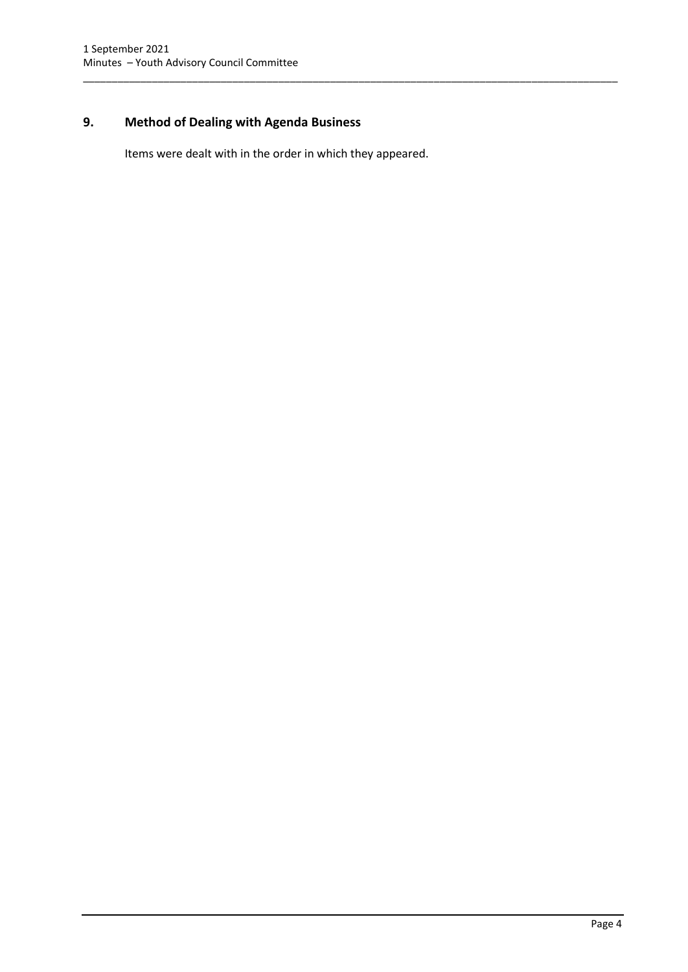# <span id="page-6-0"></span>**9. Method of Dealing with Agenda Business**

Items were dealt with in the order in which they appeared.

\_\_\_\_\_\_\_\_\_\_\_\_\_\_\_\_\_\_\_\_\_\_\_\_\_\_\_\_\_\_\_\_\_\_\_\_\_\_\_\_\_\_\_\_\_\_\_\_\_\_\_\_\_\_\_\_\_\_\_\_\_\_\_\_\_\_\_\_\_\_\_\_\_\_\_\_\_\_\_\_\_\_\_\_\_\_\_\_\_\_\_\_\_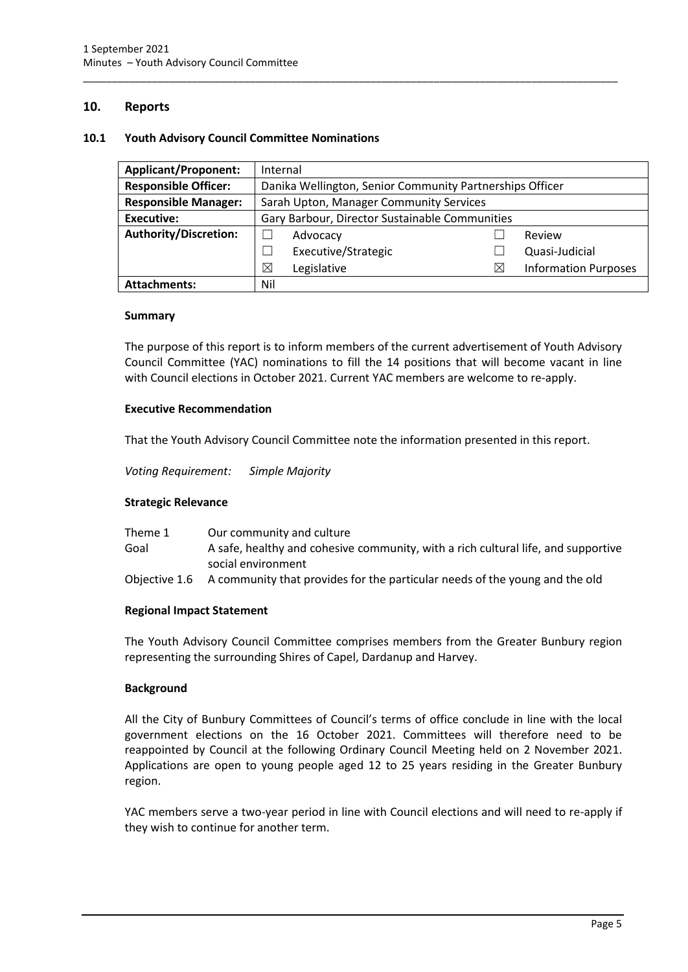### <span id="page-7-0"></span>**10. Reports**

#### <span id="page-7-1"></span>**10.1 Youth Advisory Council Committee Nominations**

| <b>Applicant/Proponent:</b>  | Internal                                                 |                     |             |                             |
|------------------------------|----------------------------------------------------------|---------------------|-------------|-----------------------------|
| <b>Responsible Officer:</b>  | Danika Wellington, Senior Community Partnerships Officer |                     |             |                             |
| <b>Responsible Manager:</b>  | Sarah Upton, Manager Community Services                  |                     |             |                             |
| <b>Executive:</b>            | Gary Barbour, Director Sustainable Communities           |                     |             |                             |
| <b>Authority/Discretion:</b> |                                                          | Advocacy            |             | Review                      |
|                              |                                                          | Executive/Strategic |             | Quasi-Judicial              |
|                              | ⊠                                                        | Legislative         | $\boxtimes$ | <b>Information Purposes</b> |
| <b>Attachments:</b>          | Nil                                                      |                     |             |                             |

\_\_\_\_\_\_\_\_\_\_\_\_\_\_\_\_\_\_\_\_\_\_\_\_\_\_\_\_\_\_\_\_\_\_\_\_\_\_\_\_\_\_\_\_\_\_\_\_\_\_\_\_\_\_\_\_\_\_\_\_\_\_\_\_\_\_\_\_\_\_\_\_\_\_\_\_\_\_\_\_\_\_\_\_\_\_\_\_\_\_\_\_\_

#### **Summary**

The purpose of this report is to inform members of the current advertisement of Youth Advisory Council Committee (YAC) nominations to fill the 14 positions that will become vacant in line with Council elections in October 2021. Current YAC members are welcome to re-apply.

#### **Executive Recommendation**

That the Youth Advisory Council Committee note the information presented in this report.

*Voting Requirement: Simple Majority* 

#### **Strategic Relevance**

| Theme 1 | Our community and culture                                                                 |
|---------|-------------------------------------------------------------------------------------------|
| Goal    | A safe, healthy and cohesive community, with a rich cultural life, and supportive         |
|         | social environment                                                                        |
|         | Objective 1.6 A community that provides for the particular needs of the young and the old |

#### **Regional Impact Statement**

The Youth Advisory Council Committee comprises members from the Greater Bunbury region representing the surrounding Shires of Capel, Dardanup and Harvey.

#### **Background**

All the City of Bunbury Committees of Council's terms of office conclude in line with the local government elections on the 16 October 2021. Committees will therefore need to be reappointed by Council at the following Ordinary Council Meeting held on 2 November 2021. Applications are open to young people aged 12 to 25 years residing in the Greater Bunbury region.

YAC members serve a two-year period in line with Council elections and will need to re-apply if they wish to continue for another term.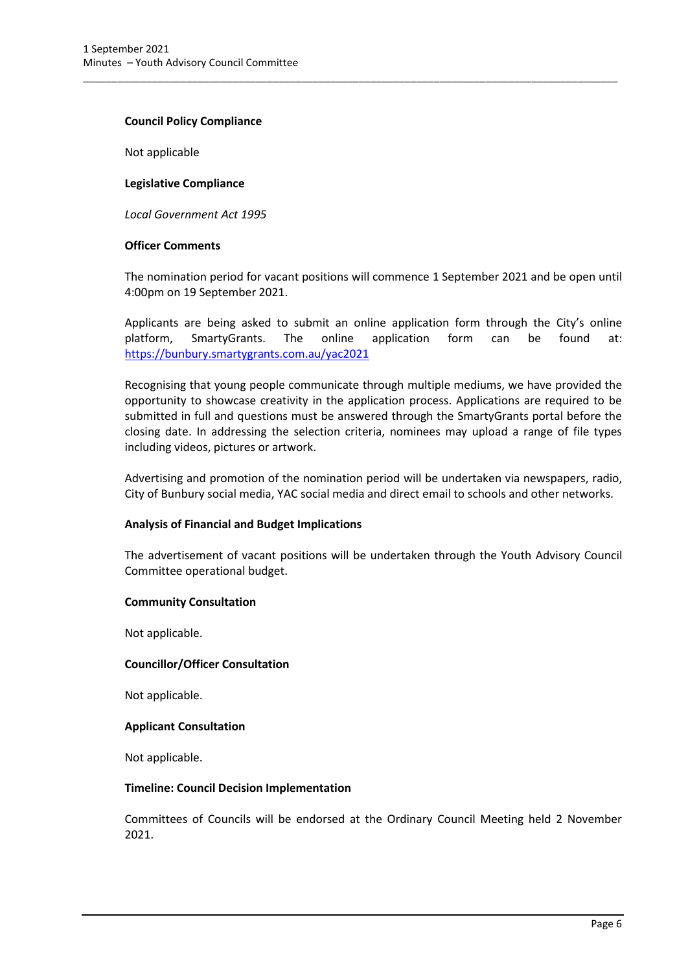#### **Council Policy Compliance**

Not applicable

#### **Legislative Compliance**

*Local Government Act 1995*

#### **Officer Comments**

The nomination period for vacant positions will commence 1 September 2021 and be open until 4:00pm on 19 September 2021.

\_\_\_\_\_\_\_\_\_\_\_\_\_\_\_\_\_\_\_\_\_\_\_\_\_\_\_\_\_\_\_\_\_\_\_\_\_\_\_\_\_\_\_\_\_\_\_\_\_\_\_\_\_\_\_\_\_\_\_\_\_\_\_\_\_\_\_\_\_\_\_\_\_\_\_\_\_\_\_\_\_\_\_\_\_\_\_\_\_\_\_\_\_

Applicants are being asked to submit an online application form through the City's online platform, SmartyGrants. The online application form can be found at: [https://bunbury.smartygrants.com.au/yac2](https://bunbury.smartygrants.com.au/yac)021

Recognising that young people communicate through multiple mediums, we have provided the opportunity to showcase creativity in the application process. Applications are required to be submitted in full and questions must be answered through the SmartyGrants portal before the closing date. In addressing the selection criteria, nominees may upload a range of file types including videos, pictures or artwork.

Advertising and promotion of the nomination period will be undertaken via newspapers, radio, City of Bunbury social media, YAC social media and direct email to schools and other networks.

#### **Analysis of Financial and Budget Implications**

The advertisement of vacant positions will be undertaken through the Youth Advisory Council Committee operational budget.

#### **Community Consultation**

Not applicable.

#### **Councillor/Officer Consultation**

Not applicable.

#### **Applicant Consultation**

Not applicable.

#### **Timeline: Council Decision Implementation**

Committees of Councils will be endorsed at the Ordinary Council Meeting held 2 November 2021.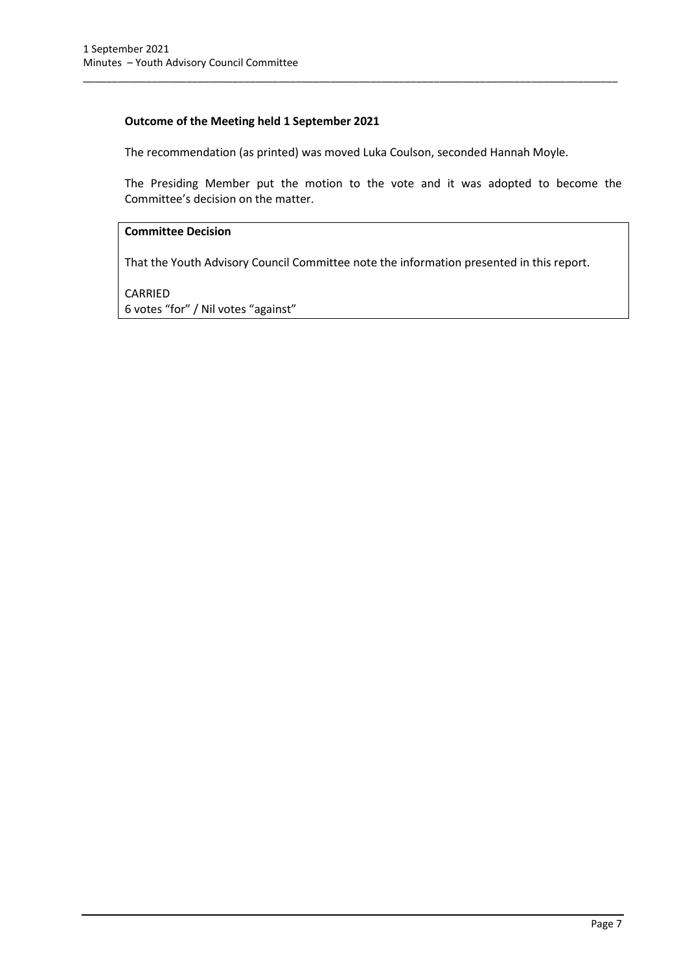# **Outcome of the Meeting held 1 September 2021**

The recommendation (as printed) was moved Luka Coulson, seconded Hannah Moyle.

\_\_\_\_\_\_\_\_\_\_\_\_\_\_\_\_\_\_\_\_\_\_\_\_\_\_\_\_\_\_\_\_\_\_\_\_\_\_\_\_\_\_\_\_\_\_\_\_\_\_\_\_\_\_\_\_\_\_\_\_\_\_\_\_\_\_\_\_\_\_\_\_\_\_\_\_\_\_\_\_\_\_\_\_\_\_\_\_\_\_\_\_\_

The Presiding Member put the motion to the vote and it was adopted to become the Committee's decision on the matter.

### **Committee Decision**

That the Youth Advisory Council Committee note the information presented in this report.

CARRIED 6 votes "for" / Nil votes "against"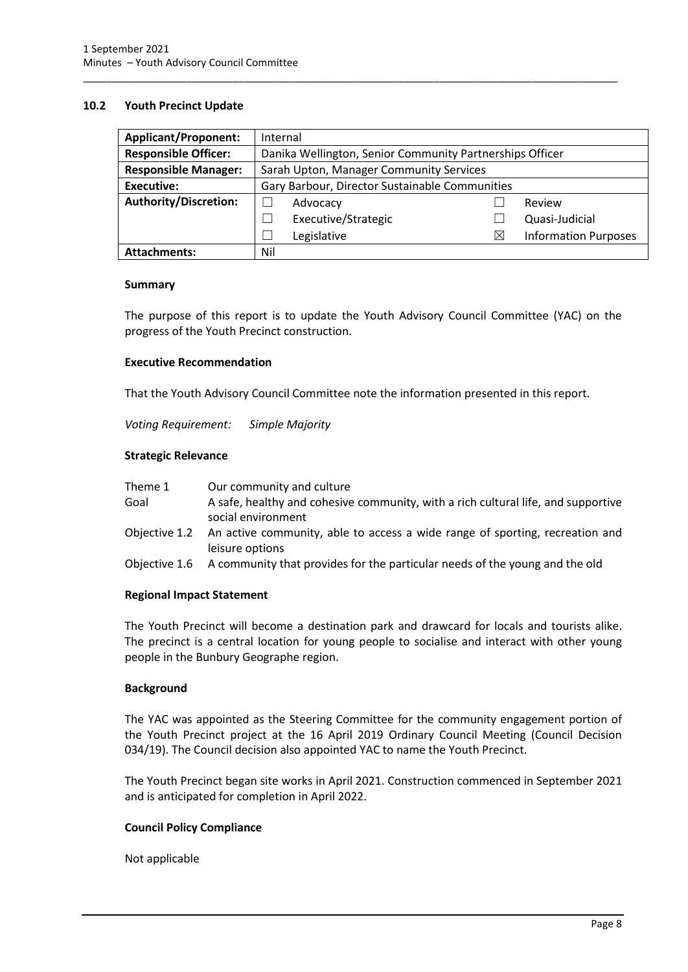#### <span id="page-10-0"></span>**10.2 Youth Precinct Update**

| <b>Applicant/Proponent:</b>  | Internal                                                 |                                         |   |                             |
|------------------------------|----------------------------------------------------------|-----------------------------------------|---|-----------------------------|
| <b>Responsible Officer:</b>  | Danika Wellington, Senior Community Partnerships Officer |                                         |   |                             |
| <b>Responsible Manager:</b>  |                                                          | Sarah Upton, Manager Community Services |   |                             |
| <b>Executive:</b>            | Gary Barbour, Director Sustainable Communities           |                                         |   |                             |
| <b>Authority/Discretion:</b> |                                                          | Advocacy                                |   | Review                      |
|                              |                                                          | Executive/Strategic                     |   | Quasi-Judicial              |
|                              |                                                          | Legislative                             | X | <b>Information Purposes</b> |
| <b>Attachments:</b>          | Nil                                                      |                                         |   |                             |

\_\_\_\_\_\_\_\_\_\_\_\_\_\_\_\_\_\_\_\_\_\_\_\_\_\_\_\_\_\_\_\_\_\_\_\_\_\_\_\_\_\_\_\_\_\_\_\_\_\_\_\_\_\_\_\_\_\_\_\_\_\_\_\_\_\_\_\_\_\_\_\_\_\_\_\_\_\_\_\_\_\_\_\_\_\_\_\_\_\_\_\_\_

#### **Summary**

The purpose of this report is to update the Youth Advisory Council Committee (YAC) on the progress of the Youth Precinct construction.

#### **Executive Recommendation**

That the Youth Advisory Council Committee note the information presented in this report.

*Voting Requirement: Simple Majority* 

#### **Strategic Relevance**

| Theme 1       | Our community and culture                                                                               |
|---------------|---------------------------------------------------------------------------------------------------------|
| Goal          | A safe, healthy and cohesive community, with a rich cultural life, and supportive<br>social environment |
| Objective 1.2 | An active community, able to access a wide range of sporting, recreation and<br>leisure options         |
|               | Objective 1.6 A community that provides for the particular needs of the young and the old               |

#### **Regional Impact Statement**

The Youth Precinct will become a destination park and drawcard for locals and tourists alike. The precinct is a central location for young people to socialise and interact with other young people in the Bunbury Geographe region.

#### **Background**

The YAC was appointed as the Steering Committee for the community engagement portion of the Youth Precinct project at the 16 April 2019 Ordinary Council Meeting (Council Decision 034/19). The Council decision also appointed YAC to name the Youth Precinct.

The Youth Precinct began site works in April 2021. Construction commenced in September 2021 and is anticipated for completion in April 2022.

#### **Council Policy Compliance**

Not applicable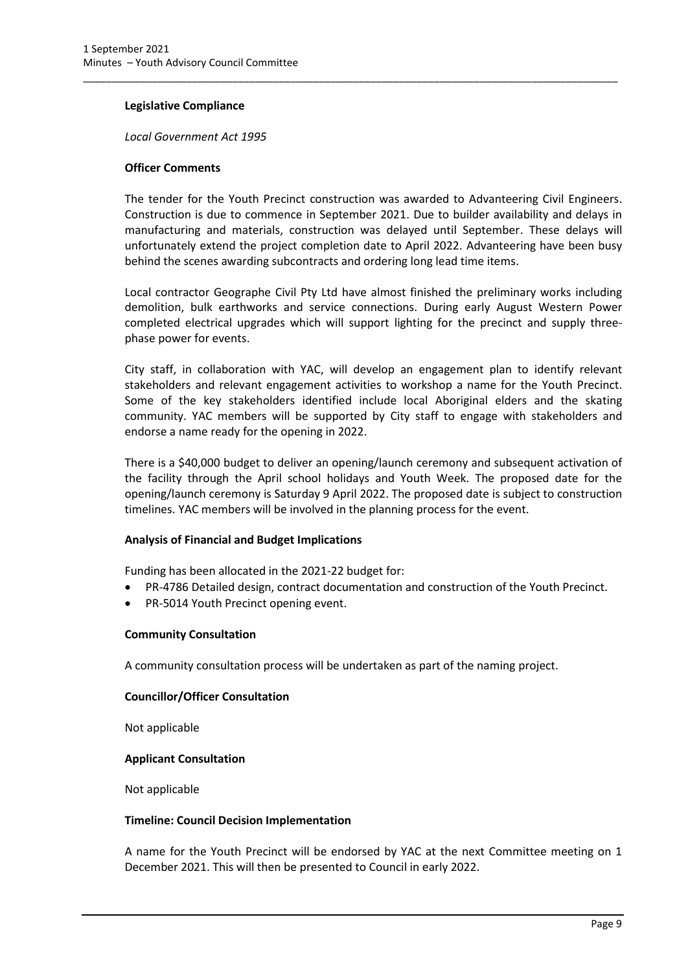#### **Legislative Compliance**

*Local Government Act 1995*

#### **Officer Comments**

The tender for the Youth Precinct construction was awarded to Advanteering Civil Engineers. Construction is due to commence in September 2021. Due to builder availability and delays in manufacturing and materials, construction was delayed until September. These delays will unfortunately extend the project completion date to April 2022. Advanteering have been busy behind the scenes awarding subcontracts and ordering long lead time items.

\_\_\_\_\_\_\_\_\_\_\_\_\_\_\_\_\_\_\_\_\_\_\_\_\_\_\_\_\_\_\_\_\_\_\_\_\_\_\_\_\_\_\_\_\_\_\_\_\_\_\_\_\_\_\_\_\_\_\_\_\_\_\_\_\_\_\_\_\_\_\_\_\_\_\_\_\_\_\_\_\_\_\_\_\_\_\_\_\_\_\_\_\_

Local contractor Geographe Civil Pty Ltd have almost finished the preliminary works including demolition, bulk earthworks and service connections. During early August Western Power completed electrical upgrades which will support lighting for the precinct and supply threephase power for events.

City staff, in collaboration with YAC, will develop an engagement plan to identify relevant stakeholders and relevant engagement activities to workshop a name for the Youth Precinct. Some of the key stakeholders identified include local Aboriginal elders and the skating community. YAC members will be supported by City staff to engage with stakeholders and endorse a name ready for the opening in 2022.

There is a \$40,000 budget to deliver an opening/launch ceremony and subsequent activation of the facility through the April school holidays and Youth Week. The proposed date for the opening/launch ceremony is Saturday 9 April 2022. The proposed date is subject to construction timelines. YAC members will be involved in the planning process for the event.

#### **Analysis of Financial and Budget Implications**

Funding has been allocated in the 2021-22 budget for:

- PR-4786 Detailed design, contract documentation and construction of the Youth Precinct.
- PR-5014 Youth Precinct opening event.

#### **Community Consultation**

A community consultation process will be undertaken as part of the naming project.

#### **Councillor/Officer Consultation**

Not applicable

#### **Applicant Consultation**

Not applicable

#### **Timeline: Council Decision Implementation**

A name for the Youth Precinct will be endorsed by YAC at the next Committee meeting on 1 December 2021. This will then be presented to Council in early 2022.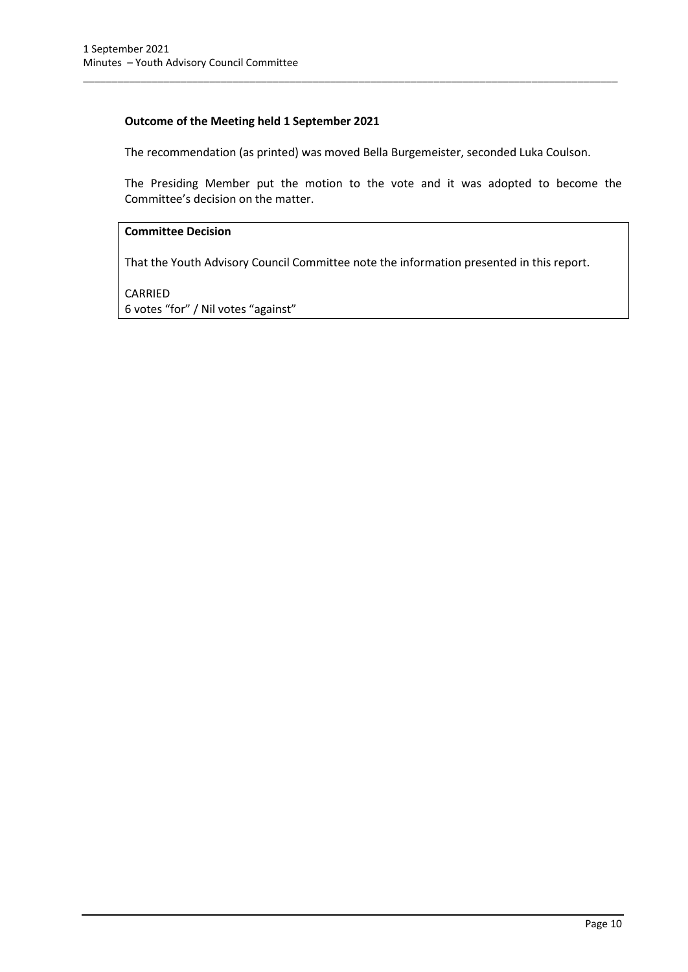# **Outcome of the Meeting held 1 September 2021**

The recommendation (as printed) was moved Bella Burgemeister, seconded Luka Coulson.

\_\_\_\_\_\_\_\_\_\_\_\_\_\_\_\_\_\_\_\_\_\_\_\_\_\_\_\_\_\_\_\_\_\_\_\_\_\_\_\_\_\_\_\_\_\_\_\_\_\_\_\_\_\_\_\_\_\_\_\_\_\_\_\_\_\_\_\_\_\_\_\_\_\_\_\_\_\_\_\_\_\_\_\_\_\_\_\_\_\_\_\_\_

The Presiding Member put the motion to the vote and it was adopted to become the Committee's decision on the matter.

#### **Committee Decision**

That the Youth Advisory Council Committee note the information presented in this report.

CARRIED 6 votes "for" / Nil votes "against"